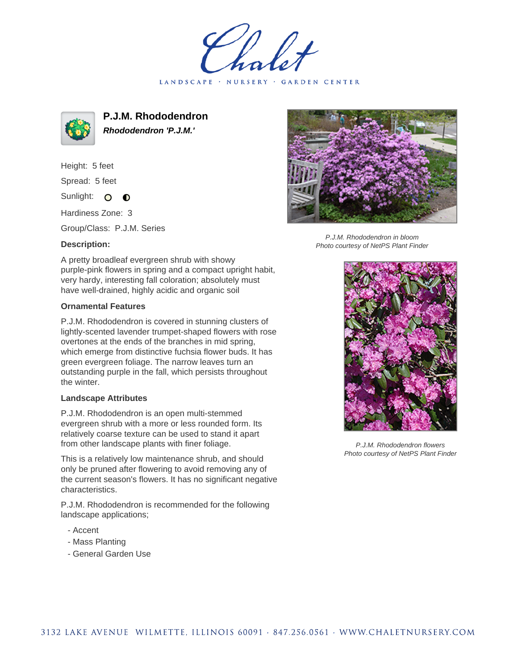LANDSCAPE · NURSERY · GARDEN CENTER



**P.J.M. Rhododendron Rhododendron 'P.J.M.'**

Height: 5 feet Spread: 5 feet Sunlight: O  $\bullet$ 

Hardiness Zone: 3

Group/Class: P.J.M. Series

## **Description:**

A pretty broadleaf evergreen shrub with showy purple-pink flowers in spring and a compact upright habit, very hardy, interesting fall coloration; absolutely must have well-drained, highly acidic and organic soil

## **Ornamental Features**

P.J.M. Rhododendron is covered in stunning clusters of lightly-scented lavender trumpet-shaped flowers with rose overtones at the ends of the branches in mid spring, which emerge from distinctive fuchsia flower buds. It has green evergreen foliage. The narrow leaves turn an outstanding purple in the fall, which persists throughout the winter.

## **Landscape Attributes**

P.J.M. Rhododendron is an open multi-stemmed evergreen shrub with a more or less rounded form. Its relatively coarse texture can be used to stand it apart from other landscape plants with finer foliage.

This is a relatively low maintenance shrub, and should only be pruned after flowering to avoid removing any of the current season's flowers. It has no significant negative characteristics.

P.J.M. Rhododendron is recommended for the following landscape applications;

- Accent
- Mass Planting
- General Garden Use



P.J.M. Rhododendron in bloom Photo courtesy of NetPS Plant Finder



P.J.M. Rhododendron flowers Photo courtesy of NetPS Plant Finder